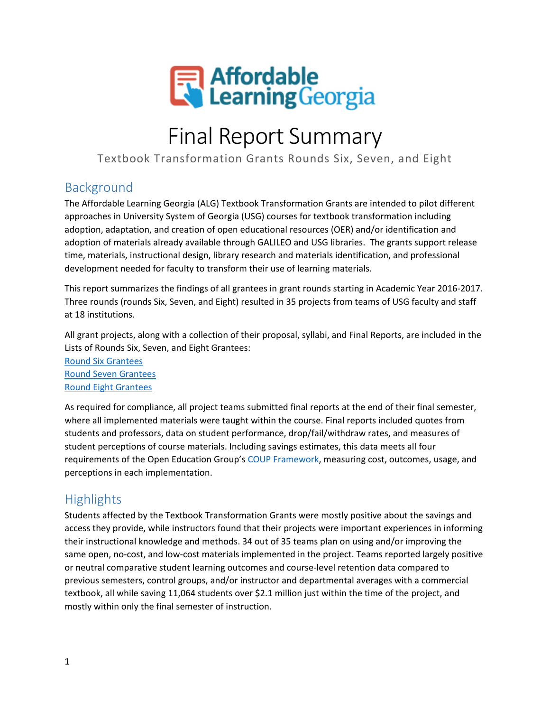

# Final Report Summary

Textbook Transformation Grants Rounds Six, Seven, and Eight

#### Background

The Affordable Learning Georgia (ALG) Textbook Transformation Grants are intended to pilot different approaches in University System of Georgia (USG) courses for textbook transformation including adoption, adaptation, and creation of open educational resources (OER) and/or identification and adoption of materials already available through GALILEO and USG libraries. The grants support release time, materials, instructional design, library research and materials identification, and professional development needed for faculty to transform their use of learning materials.

This report summarizes the findings of all grantees in grant rounds starting in Academic Year 2016-2017. Three rounds (rounds Six, Seven, and Eight) resulted in 35 projects from teams of USG faculty and staff at 18 institutions.

All grant projects, along with a collection of their proposal, syllabi, and Final Reports, are included in the Lists of Rounds Six, Seven, and Eight Grantees:

[Round Six](https://www.affordablelearninggeorgia.org/about/textbook_transformation_grants_round_6_grantees/) Grantees [Round Seven](http://www.affordablelearninggeorgia.org/about/textbook_transformation_grants_round_7_grantees/) Grantees [Round Eight](http://www.affordablelearninggeorgia.org/about/textbook_transformation_grants_round_8_grantees/) Grantees

As required for compliance, all project teams submitted final reports at the end of their final semester, where all implemented materials were taught within the course. Final reports included quotes from students and professors, data on student performance, drop/fail/withdraw rates, and measures of student perceptions of course materials. Including savings estimates, this data meets all four requirements of the Open Education Group's [COUP Framework,](http://openedgroup.org/coup) measuring cost, outcomes, usage, and perceptions in each implementation.

# **Highlights**

Students affected by the Textbook Transformation Grants were mostly positive about the savings and access they provide, while instructors found that their projects were important experiences in informing their instructional knowledge and methods. 34 out of 35 teams plan on using and/or improving the same open, no-cost, and low-cost materials implemented in the project. Teams reported largely positive or neutral comparative student learning outcomes and course-level retention data compared to previous semesters, control groups, and/or instructor and departmental averages with a commercial textbook, all while saving 11,064 students over \$2.1 million just within the time of the project, and mostly within only the final semester of instruction.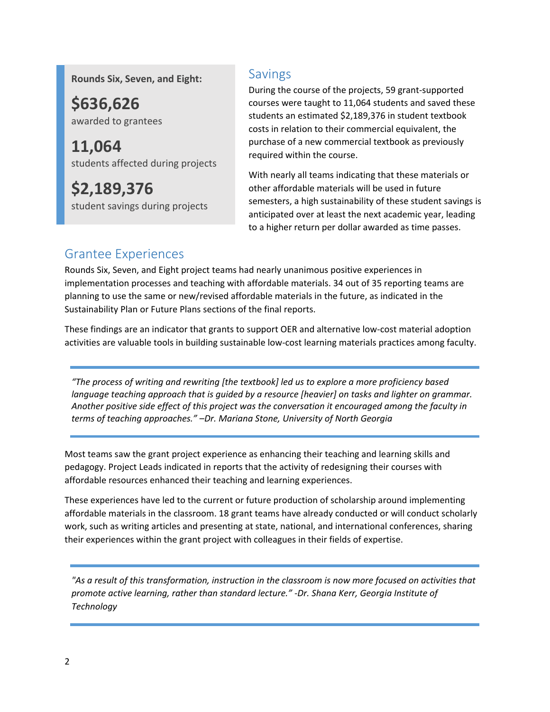**Rounds Six, Seven, and Eight:**

**\$636,626**  awarded to grantees

**11,064** students affected during projects

**\$2,189,376** student savings during projects

#### Savings

During the course of the projects, 59 grant-supported courses were taught to 11,064 students and saved these students an estimated \$2,189,376 in student textbook costs in relation to their commercial equivalent, the purchase of a new commercial textbook as previously required within the course.

With nearly all teams indicating that these materials or other affordable materials will be used in future semesters, a high sustainability of these student savings is anticipated over at least the next academic year, leading to a higher return per dollar awarded as time passes.

## Grantee Experiences

Rounds Six, Seven, and Eight project teams had nearly unanimous positive experiences in implementation processes and teaching with affordable materials. 34 out of 35 reporting teams are planning to use the same or new/revised affordable materials in the future, as indicated in the Sustainability Plan or Future Plans sections of the final reports.

These findings are an indicator that grants to support OER and alternative low-cost material adoption activities are valuable tools in building sustainable low-cost learning materials practices among faculty.

*"The process of writing and rewriting [the textbook] led us to explore a more proficiency based language teaching approach that is guided by a resource [heavier] on tasks and lighter on grammar. Another positive side effect of this project was the conversation it encouraged among the faculty in terms of teaching approaches." –Dr. Mariana Stone, University of North Georgia*

Most teams saw the grant project experience as enhancing their teaching and learning skills and pedagogy. Project Leads indicated in reports that the activity of redesigning their courses with affordable resources enhanced their teaching and learning experiences.

These experiences have led to the current or future production of scholarship around implementing affordable materials in the classroom. 18 grant teams have already conducted or will conduct scholarly work, such as writing articles and presenting at state, national, and international conferences, sharing their experiences within the grant project with colleagues in their fields of expertise.

*"As a result of this transformation, instruction in the classroom is now more focused on activities that promote active learning, rather than standard lecture." -Dr. Shana Kerr, Georgia Institute of Technology*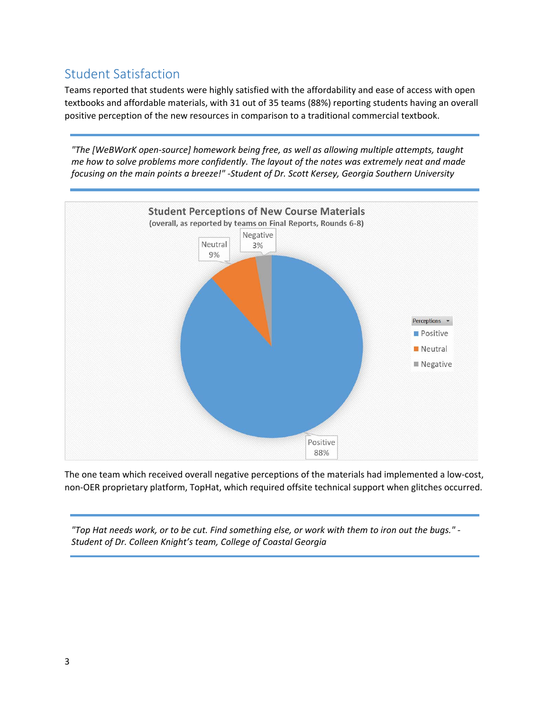## Student Satisfaction

Teams reported that students were highly satisfied with the affordability and ease of access with open textbooks and affordable materials, with 31 out of 35 teams (88%) reporting students having an overall positive perception of the new resources in comparison to a traditional commercial textbook.

*"The [WeBWorK open-source] homework being free, as well as allowing multiple attempts, taught me how to solve problems more confidently. The layout of the notes was extremely neat and made focusing on the main points a breeze!" -Student of Dr. Scott Kersey, Georgia Southern University*



The one team which received overall negative perceptions of the materials had implemented a low-cost, non-OER proprietary platform, TopHat, which required offsite technical support when glitches occurred.

*"Top Hat needs work, or to be cut. Find something else, or work with them to iron out the bugs." - Student of Dr. Colleen Knight's team, College of Coastal Georgia*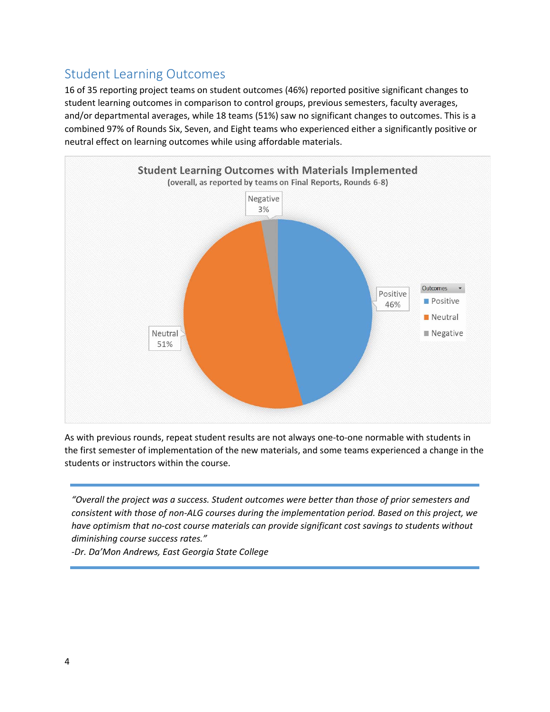## Student Learning Outcomes

16 of 35 reporting project teams on student outcomes (46%) reported positive significant changes to student learning outcomes in comparison to control groups, previous semesters, faculty averages, and/or departmental averages, while 18 teams (51%) saw no significant changes to outcomes. This is a combined 97% of Rounds Six, Seven, and Eight teams who experienced either a significantly positive or neutral effect on learning outcomes while using affordable materials.



As with previous rounds, repeat student results are not always one-to-one normable with students in the first semester of implementation of the new materials, and some teams experienced a change in the students or instructors within the course.

*"Overall the project was a success. Student outcomes were better than those of prior semesters and consistent with those of non-ALG courses during the implementation period. Based on this project, we have optimism that no-cost course materials can provide significant cost savings to students without diminishing course success rates."* 

*-Dr. Da'Mon Andrews, East Georgia State College*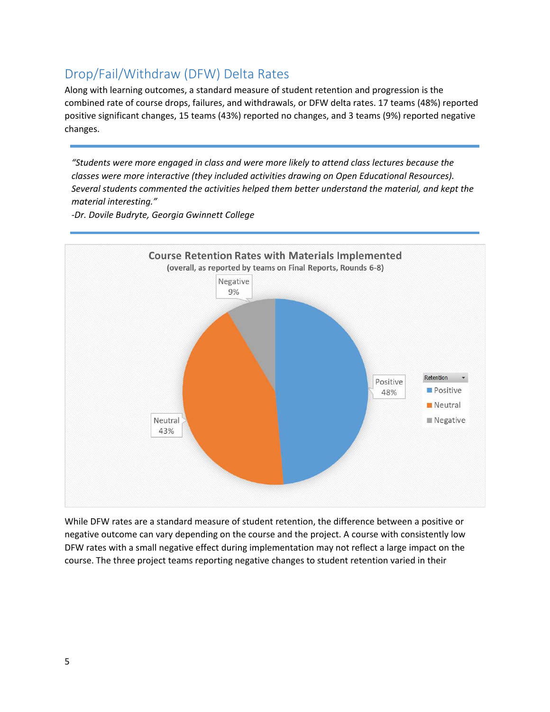### Drop/Fail/Withdraw (DFW) Delta Rates

Along with learning outcomes, a standard measure of student retention and progression is the combined rate of course drops, failures, and withdrawals, or DFW delta rates. 17 teams (48%) reported positive significant changes, 15 teams (43%) reported no changes, and 3 teams (9%) reported negative changes.

*"Students were more engaged in class and were more likely to attend class lectures because the classes were more interactive (they included activities drawing on Open Educational Resources). Several students commented the activities helped them better understand the material, and kept the material interesting."*



*-Dr. Dovile Budryte, Georgia Gwinnett College*

While DFW rates are a standard measure of student retention, the difference between a positive or negative outcome can vary depending on the course and the project. A course with consistently low DFW rates with a small negative effect during implementation may not reflect a large impact on the course. The three project teams reporting negative changes to student retention varied in their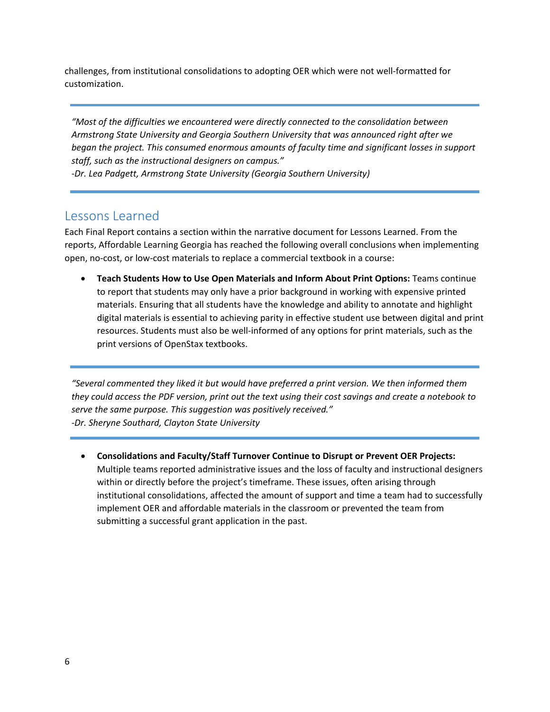challenges, from institutional consolidations to adopting OER which were not well-formatted for customization.

*"Most of the difficulties we encountered were directly connected to the consolidation between Armstrong State University and Georgia Southern University that was announced right after we began the project. This consumed enormous amounts of faculty time and significant losses in support staff, such as the instructional designers on campus."*

*-Dr. Lea Padgett, Armstrong State University (Georgia Southern University)*

#### Lessons Learned

Each Final Report contains a section within the narrative document for Lessons Learned. From the reports, Affordable Learning Georgia has reached the following overall conclusions when implementing open, no-cost, or low-cost materials to replace a commercial textbook in a course:

• **Teach Students How to Use Open Materials and Inform About Print Options:** Teams continue to report that students may only have a prior background in working with expensive printed materials. Ensuring that all students have the knowledge and ability to annotate and highlight digital materials is essential to achieving parity in effective student use between digital and print resources. Students must also be well-informed of any options for print materials, such as the print versions of OpenStax textbooks.

*"Several commented they liked it but would have preferred a print version. We then informed them they could access the PDF version, print out the text using their cost savings and create a notebook to serve the same purpose. This suggestion was positively received." -Dr. Sheryne Southard, Clayton State University*

• **Consolidations and Faculty/Staff Turnover Continue to Disrupt or Prevent OER Projects:**  Multiple teams reported administrative issues and the loss of faculty and instructional designers within or directly before the project's timeframe. These issues, often arising through institutional consolidations, affected the amount of support and time a team had to successfully implement OER and affordable materials in the classroom or prevented the team from submitting a successful grant application in the past.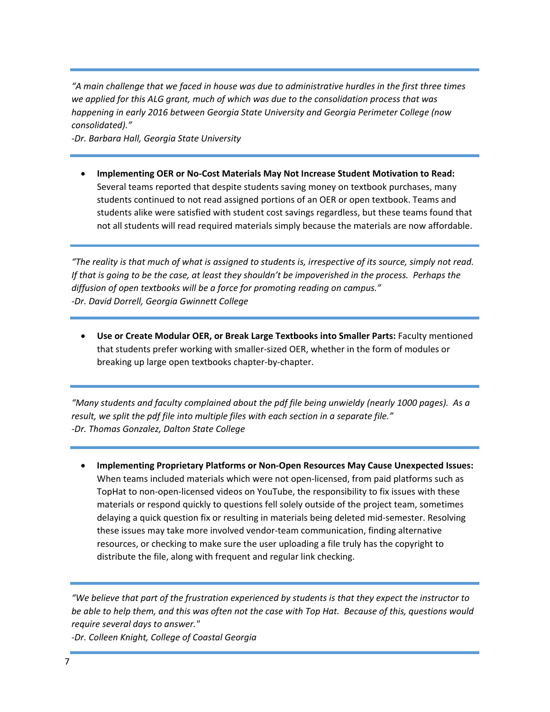*"A main challenge that we faced in house was due to administrative hurdles in the first three times we applied for this ALG grant, much of which was due to the consolidation process that was happening in early 2016 between Georgia State University and Georgia Perimeter College (now consolidated)."* 

*-Dr. Barbara Hall, Georgia State University*

• **Implementing OER or No-Cost Materials May Not Increase Student Motivation to Read:** Several teams reported that despite students saving money on textbook purchases, many students continued to not read assigned portions of an OER or open textbook. Teams and students alike were satisfied with student cost savings regardless, but these teams found that not all students will read required materials simply because the materials are now affordable.

*"The reality is that much of what is assigned to students is, irrespective of its source, simply not read. If that is going to be the case, at least they shouldn't be impoverished in the process. Perhaps the diffusion of open textbooks will be a force for promoting reading on campus." -Dr. David Dorrell, Georgia Gwinnett College*

• **Use or Create Modular OER, or Break Large Textbooks into Smaller Parts:** Faculty mentioned that students prefer working with smaller-sized OER, whether in the form of modules or breaking up large open textbooks chapter-by-chapter.

*"Many students and faculty complained about the pdf file being unwieldy (nearly 1000 pages). As a result, we split the pdf file into multiple files with each section in a separate file." -Dr. Thomas Gonzalez, Dalton State College*

• **Implementing Proprietary Platforms or Non-Open Resources May Cause Unexpected Issues:**  When teams included materials which were not open-licensed, from paid platforms such as TopHat to non-open-licensed videos on YouTube, the responsibility to fix issues with these materials or respond quickly to questions fell solely outside of the project team, sometimes delaying a quick question fix or resulting in materials being deleted mid-semester. Resolving these issues may take more involved vendor-team communication, finding alternative resources, or checking to make sure the user uploading a file truly has the copyright to distribute the file, along with frequent and regular link checking.

*"We believe that part of the frustration experienced by students is that they expect the instructor to be able to help them, and this was often not the case with Top Hat. Because of this, questions would require several days to answer."* 

*-Dr. Colleen Knight, College of Coastal Georgia*